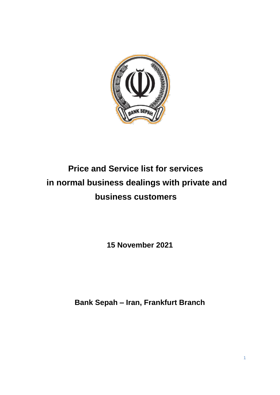

# **Price and Service list for services in normal business dealings with private and business customers**

**15 November 2021**

**Bank Sepah – Iran, Frankfurt Branch**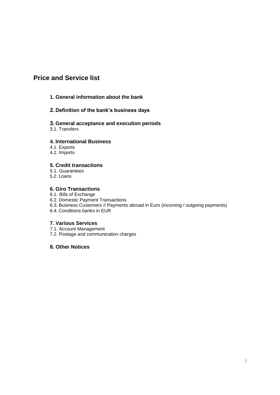# **Price and Service list**

#### **1. General information about the bank**

#### **2. Definition of the bank's business days**

#### **3. General acceptance and execution periods**

3.1. Transfers

#### **4. International Business**

4.1. Exports

4.2. Imports

#### **5. Credit transactions**

5.1. Guarantees

5.2. Loans

#### **6. Giro Transactions**

6.1. Bills of Exchange

6.2. Domestic Payment Transactions

6.3. Business Customers // Payments abroad in Euro (incoming / outgoing payments)

6.4. Conditions banks in EUR

#### **7. Various Services**

7.1. Account Management 7.2. Postage and communication charges

**8. Other Notices**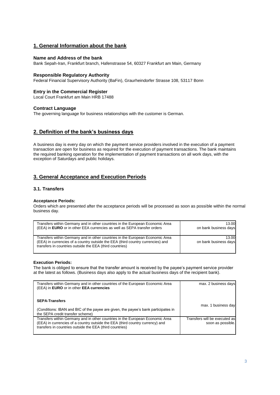#### **1. General Information about the bank**

#### **Name and Address of the bank**

Bank Sepah-Iran, Frankfurt branch, Hafenstrasse 54, 60327 Frankfurt am Main, Germany

#### **Responsible Regulatory Authority**

Federal Financial Supervisory Authority (BaFin), Graurheindorfer Strasse 108, 53117 Bonn

#### **Entry in the Commercial Register**

Local Court Frankfurt am Main HRB 17488

#### **Contract Language**

The governing language for business relationships with the customer is German.

#### **2. Definition of the bank's business days**

A business day is every day on which the payment service providers involved in the execution of a payment transaction are open for business as required for the execution of payment transactions. The bank maintains the required banking operation for the implementation of payment transactions on all work days, with the exception of Saturdays and public holidays.

#### **3. General Acceptance and Execution Periods**

#### **3.1. Transfers**

#### **Acceptance Periods:**

Orders which are presented after the acceptance periods will be processed as soon as possible within the normal business day.

| Transfers within Germany and in other countries in the European Economic Area                                                                                                                                                | 13.00                          |
|------------------------------------------------------------------------------------------------------------------------------------------------------------------------------------------------------------------------------|--------------------------------|
| (EEA) in <b>EURO</b> or in other EEA currencies as well as SEPA transfer orders                                                                                                                                              | on bank business days          |
| Transfers within Germany and in other countries in the European Economic Area<br>(EEA) in currencies of a country outside the EEA (third country currencies) and<br>transfers in countries outside the EEA (third countries) | 13.00<br>on bank business days |

#### **Execution Periods:**

The bank is obliged to ensure that the transfer amount is received by the payee's payment service provider at the latest as follows. (Business days also apply to the actual business days of the recipient bank).

| Transfers within Germany and in other countries of the European Economic Area<br>(EEA) in EURO or in other EEA currencies                                                                                                  | max. 2 business days                               |
|----------------------------------------------------------------------------------------------------------------------------------------------------------------------------------------------------------------------------|----------------------------------------------------|
| <b>SEPA-Transfers</b><br>(Conditions: IBAN and BIC of the payee are given, the payee's bank participates in<br>the SEPA credit transfer scheme)                                                                            | max. 1 business day                                |
| Transfers within Germany and in other countries in the European Economic Area<br>(EEA) in currencies of a country outside the EEA (third country currency) and<br>transfers in countries outside the EEA (third countries) | Transfers will be executed as<br>soon as possible. |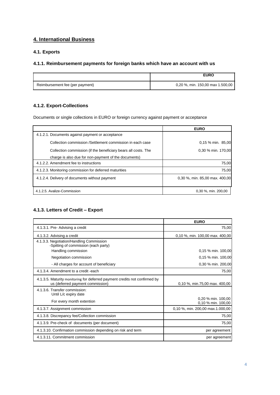## **4. International Business**

#### **4.1. Exports**

#### **4.1.1. Reimbursement payments for foreign banks which have an account with us**

|                                 | <b>EURO</b>                      |
|---------------------------------|----------------------------------|
| Reimbursement fee (per payment) | 0,20 %, min. 150,00 max 1.500.00 |

#### **4.1.2. Export-Collections**

Documents or single collections in EURO or foreign currency against payment or acceptance

|                                                                | <b>EURO</b>                    |
|----------------------------------------------------------------|--------------------------------|
| 4.1.2.1. Documents against payment or acceptance               |                                |
| Collection commission /Settlement commission in each case      | $0.15\%$ min. 85.00            |
| Collection commission (if the beneficiary bears all costs. The | 0,30 % min. 170,00             |
| charge is also due for non-payment of the documents)           |                                |
| 4.1.2.2. Amendment fee to instructions                         | 75,00                          |
| 4.1.2.3. Monitoring commission for deferred maturities         | 75.00                          |
| 4.1.2.4. Delivery of documents without payment                 | 0.30 %, min. 85,00 max. 400,00 |
| 4.1.2.5. Avalize-Commission                                    | 0,30 %, min. 200,00            |

#### **4.1.3. Letters of Credit – Export**

|                                                                                                                | <b>EURO</b>                              |  |  |  |
|----------------------------------------------------------------------------------------------------------------|------------------------------------------|--|--|--|
| 4.1.3.1. Pre- Advising a credit                                                                                | 75,00                                    |  |  |  |
| 4.1.3.2. Advising a credit                                                                                     | 0,10 %, min. 100,00 max. 400,00          |  |  |  |
| 4.1.3.3. Negotiation/Handling Commission<br>-Spitting of commission (each party)                               |                                          |  |  |  |
| Handling commission                                                                                            | 0.15 % min. 100,00                       |  |  |  |
| Negotiation commission                                                                                         | 0,15 % min. 100,00                       |  |  |  |
| - All charges for account of beneficiary                                                                       | 0,30 % min. 200,00                       |  |  |  |
| 4.1.3.4. Amendment to a credit -each                                                                           | 75,00                                    |  |  |  |
| 4.1.3.5. Maturity monitoring for deferred payment credits not confirmed by<br>us (deferred payment commission) | 0,10 %, min.75,00 max. 400,00            |  |  |  |
| 4.1.3.6. Transfer commission:<br>Until L/c expiry date                                                         |                                          |  |  |  |
| For every month extention                                                                                      | 0,20 % min. 100,00<br>0,10 % min. 100,00 |  |  |  |
| 4.1.3.7. Assignment commission                                                                                 | 0,10 %, min. 200,00 max.1.000,00         |  |  |  |
| 4.1.3.8. Discrepancy fee/Collection commission                                                                 | 75,00                                    |  |  |  |
| 4.1.3.9. Pre-check of documents (per document)                                                                 | 75,00                                    |  |  |  |
| 4.1.3.10. Confirmation commission depending on risk and term                                                   | per agreement                            |  |  |  |
| 4.1.3.11. Commitment commission                                                                                | per agreement                            |  |  |  |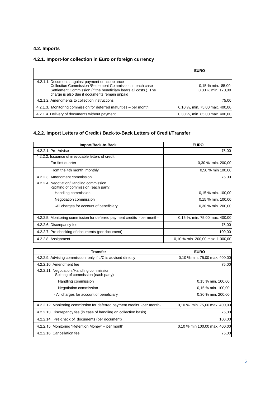#### **4.2. Imports**

## **4.2.1. Import-for collection in Euro or foreign currency**

|                                                                                                                                                                                                                                    | <b>EURO</b>                             |
|------------------------------------------------------------------------------------------------------------------------------------------------------------------------------------------------------------------------------------|-----------------------------------------|
| 4.2.1.1. Documents against payment or acceptance<br>Collection Commission /Settlement Commission in each case<br>Settlement Commission (if the beneficiary bears all costs.). The<br>charge is also due if documents remain unpaid | 0.15 % min. 85,00<br>0.30 % min. 170.00 |
| 4.2.1.2. Amendments to collection instructions                                                                                                                                                                                     | 75,00                                   |
| 4.2.1.3. Monitoring commission for deferred maturities – per month                                                                                                                                                                 | 0,10 %, min. 75,00 max. 400,00          |
| 4.2.1.4. Delivery of documents without payment                                                                                                                                                                                     | 0,30 %, min. 85,00 max. 400,00          |

# **4.2.2. Import Letters of Credit / Back-to-Back Letters of Credit/Transfer**

| Import/Back-to-Back                                                              | <b>EURO</b>                      |  |  |  |
|----------------------------------------------------------------------------------|----------------------------------|--|--|--|
| 4.2.2.1. Pre-Advise                                                              | 75,00                            |  |  |  |
| 4.2.2.2. Issuance of irrevocable letters of credit                               |                                  |  |  |  |
| For first quarter                                                                | 0,30 %, min. 200,00              |  |  |  |
| From the 4th month, monthly                                                      | 0,50 % min 100,00                |  |  |  |
| 4.2.2.3. Amendment commission                                                    | 75.00                            |  |  |  |
| 4.2.2.4. Negotiation/Handling commission<br>-Spitting of commission (each party) |                                  |  |  |  |
| Handling commission                                                              | 0,15 % min. 100,00               |  |  |  |
| Negotiation commission                                                           | 0,15 % min. 100,00               |  |  |  |
| -All charges for account of beneficiary                                          | 0.30 % min. 200,00               |  |  |  |
| 4.2.2.5. Monitoring commission for deferred payment credits -per month-          | 0,15 %, min. 75,00 max. 400,00   |  |  |  |
| 4.2.2.6. Discrepancy fee                                                         | 75,00                            |  |  |  |
| 4.2.2.7. Pre checking of documents (per document)                                | 100,00                           |  |  |  |
| 4.2.2.8. Assignment                                                              | 0.10 % min. 200.00 max. 1.000.00 |  |  |  |

| <b>Transfer</b>                                                                     | <b>EURO</b>                    |
|-------------------------------------------------------------------------------------|--------------------------------|
| 4.2.2.9. Advising commission, only if L/C is advised directly                       | 0,10 % min. 75,00 max. 400,00  |
| 4.2.2.10. Amendment fee                                                             | 75,00                          |
| 4.2.2.11. Negotiation / Handling commission<br>-Spitting of commission (each party) |                                |
| Handling commission                                                                 | 0,15 % min. 100,00             |
| Negotiation commission                                                              | 0,15 % min. 100,00             |
| - All charges for account of beneficiary                                            | 0,30 % min. 200,00             |
| 4.2.2.12. Monitoring commission for deferred payment credits -per month-            | 0,10 %, min. 75,00 max. 400,00 |
| 4.2.2.13. Discrepancy fee (in case of handling on collection basis)                 | 75,00                          |
| 4.2.2.14. Pre-check of documents (per document)                                     | 100,00                         |
| 4.2.2.15. Monitoring "Retention Money" – per month                                  | 0.10 % min 100,00 max. 400,00  |
| 4.2.2.16. Cancellation fee                                                          | 75,00                          |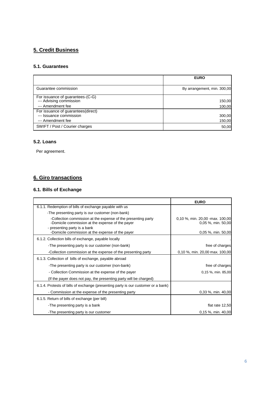# **5. Credit Business**

#### **5.1. Guarantees**

|                                                                                    | <b>EURO</b>                 |
|------------------------------------------------------------------------------------|-----------------------------|
| Guarantee commission                                                               | By arrangement, min. 300,00 |
| For issuance of guarantees-(C-G)<br>--- Advising commission<br>--- Amendment fee   | 150,00<br>100,00            |
| For issuance of guarantees(direct)<br>--- Issuance commission<br>--- Amendment fee | 300,00<br>150,00            |
| SWIFT / Post / Courier charges                                                     | 50,00                       |

#### **5.2. Loans**

Per agreement.

# **6. Giro transactions**

# **6.1. Bills of Exchange**

|                                                                                                                   | <b>EURO</b>                                            |
|-------------------------------------------------------------------------------------------------------------------|--------------------------------------------------------|
| 6.1.1. Redemption of bills of exchange payable with us                                                            |                                                        |
| -The presenting party is our customer (non-bank)                                                                  |                                                        |
| -Collection commission at the expense of the presenting party<br>-Domicile commission at the expense of the payer | 0,10 %, min. 20,00 - max. 100,00<br>0,05 %, min. 50,00 |
| - presenting party is a bank<br>-Domicile commission at the expense of the payer                                  | 0,05 %, min. 50,00                                     |
| 6.1.2. Collection bills of exchange, payable locally                                                              |                                                        |
| -The presenting party is our customer (non-bank)                                                                  | free of charges                                        |
| -Collection commission at the expense of the presenting party                                                     | 0,10 %, min. 20,00 max. 100,00                         |
| 6.1.3. Collection of bills of exchange, payable abroad                                                            |                                                        |
| -The presenting party is our customer (non-bank)                                                                  | free of charges                                        |
| - Collection Commission at the expense of the payer                                                               | 0,15 %, min. 85,00                                     |
| (If the payer does not pay, the presenting party will be charged)                                                 |                                                        |
| 6.1.4. Protests of bills of exchange (presenting party is our customer or a bank)                                 |                                                        |
| - Commission at the expense of the presenting party                                                               | 0,33 %, min. 40,00                                     |
| 6.1.5. Return of bills of exchange (per bill)                                                                     |                                                        |
| -The presenting party is a bank                                                                                   | flat rate 12,50                                        |
| -The presenting party is our customer                                                                             | 0,15 %, min. 40,00                                     |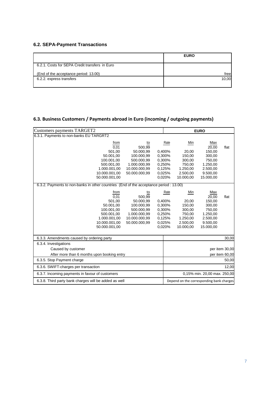# **6.2. SEPA-Payment Transactions**

|                                                | <b>EURO</b> |
|------------------------------------------------|-------------|
| 6.2.1. Costs for SEPA Credit transfers in Euro |             |
| (End of the acceptance period: 13.00)          | free        |
| 6.2.2. express transfers                       | 10,00       |
|                                                |             |

# **6.3. Business Customers / Payments abroad in Euro (incoming / outgoing payments)**

| Customers payments TARGET2                                                                                               |                                                                                                         | <b>EURO</b>                                                                |                                                                                 |                                                                                             |       |
|--------------------------------------------------------------------------------------------------------------------------|---------------------------------------------------------------------------------------------------------|----------------------------------------------------------------------------|---------------------------------------------------------------------------------|---------------------------------------------------------------------------------------------|-------|
| 6.3.1. Payments to non-banks EU TARGRT2                                                                                  |                                                                                                         |                                                                            |                                                                                 |                                                                                             |       |
| from<br>0.01<br>501,00<br>50.001,00<br>100.001,00<br>500.001,00<br>1.000.001,00<br>10.000.001.00<br>50.000.001,00        | to<br>500,99<br>50.000,99<br>100.000,99<br>500.000,99<br>1.000.000,99<br>10.000.000,99<br>50.000.000,99 | Rate<br>0,400%<br>0.300%<br>0.300%<br>0,250%<br>0,125%<br>0.025%<br>0.020% | Min<br>20,00<br>150,00<br>300,00<br>750,00<br>1.250,00<br>2.500,00<br>10.000.00 | Max<br>20,00<br>150,00<br>300,00<br>750,00<br>1.250,00<br>2.500,00<br>9.500,00<br>15.000,00 | flat  |
| 6.3.2. Payments to non-banks in other countries (End of the acceptance period : 13.00)                                   |                                                                                                         |                                                                            |                                                                                 |                                                                                             |       |
| from<br>0,01<br>501,00<br>50.001,00<br>100.001.00<br>500.001,00<br>1.000.001,00<br>10.000.001,00<br>50.000.001.00        | to<br>500,99<br>50.000.99<br>100.000,99<br>500.000,99<br>1.000.000,99<br>10.000.000,99<br>50.000.000,99 | Rate<br>0,400%<br>0,300%<br>0,300%<br>0,250%<br>0.125%<br>0.025%<br>0.020% | Min<br>20,00<br>150,00<br>300.00<br>750,00<br>1.250,00<br>2.500,00<br>10.000,00 | Max<br>20,00<br>150.00<br>300,00<br>750,00<br>1.250,00<br>2.500,00<br>9.500,00<br>15.000,00 | flat  |
| 6.3.3. Amendments caused by ordering party                                                                               |                                                                                                         |                                                                            |                                                                                 |                                                                                             | 30,00 |
| 6.3.4. Investigations<br>Caused by customer<br>After more than 6 months upon booking entry<br>6.3.5. Stop Payment charge |                                                                                                         | per item 30,00<br>per item 60,00<br>50,00                                  |                                                                                 |                                                                                             |       |
| 6.3.6. SWIFT-charges per transaction                                                                                     |                                                                                                         | 12,00                                                                      |                                                                                 |                                                                                             |       |
| 6.3.7. Incoming payments in favour of customers                                                                          |                                                                                                         | 0,15% min. 20,00 max. 250,00                                               |                                                                                 |                                                                                             |       |
| 6.3.8. Third party bank charges will be added as well                                                                    |                                                                                                         | Depend on the corresponding bank charges                                   |                                                                                 |                                                                                             |       |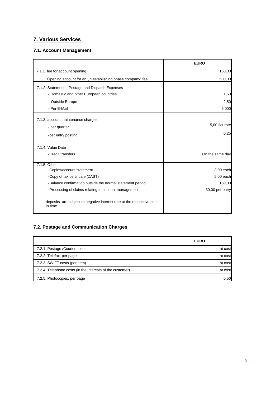# **7. Various Services**

## **7.1. Account Management**

|                                                                                   | <b>EURO</b>     |
|-----------------------------------------------------------------------------------|-----------------|
| 7.1.1. fee for account opening                                                    | 150,00          |
| Opening account for an "in establishing phase company" fee                        | 500,00          |
| 7.1.2. Statements - Postage and Dispatch Expenses                                 |                 |
| - Domestic and other European countries                                           | 1,50            |
| - Outside Europe                                                                  | 2,50            |
| - Per E-Mail                                                                      | 5,000           |
| 7.1.3. account maintenance charges                                                |                 |
| - per quarter                                                                     | 15,00 flat rate |
| -per entry posting                                                                | 0,25            |
| 7.1.4. Value Date                                                                 |                 |
| -Credit transfers                                                                 | On the same day |
| 7.1.5. Other                                                                      |                 |
| -Copies/account statement                                                         | 3,00 each       |
| -Copy of tax certificate (ZAST)                                                   | 5,00 each       |
| -Balance confirmation outside the normal statement period                         | 150,00          |
| -Processing of claims relating to account management                              | 30,00 per entry |
| deposits are subject to negative interest rate at the respective point<br>in time |                 |

# **7.2. Postage and Communication Charges**

|                                                           | <b>EURO</b> |
|-----------------------------------------------------------|-------------|
| 7.2.1. Postage /Courier costs                             | at cost     |
| 7.2.2. Telefax, per page:                                 | at cost     |
| 7.2.3. SWIFT costs (per item)                             | at cost     |
| 7.2.4. Telephone costs (in the interests of the customer) | at cost     |
| 7.2.5. Photocopies, per page                              | 0,50        |